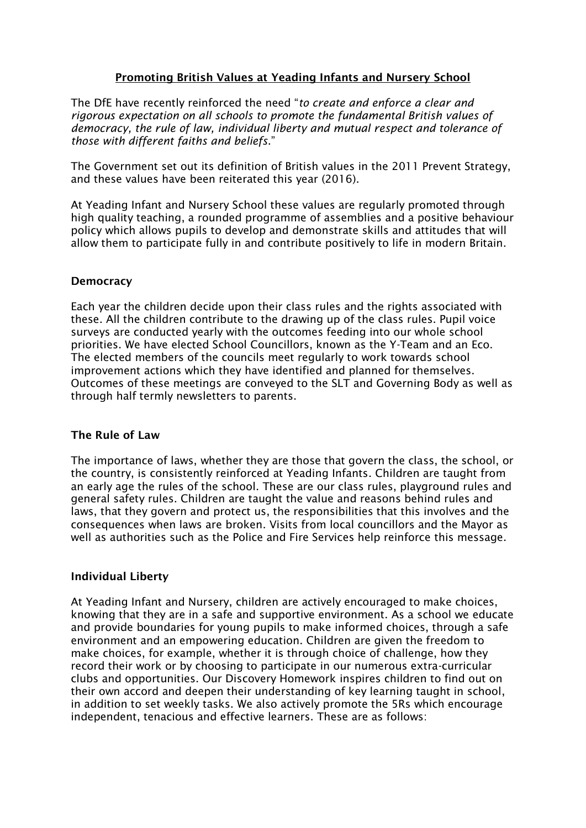# **Promoting British Values at Yeading Infants and Nursery School**

The DfE have recently reinforced the need "*to create and enforce a clear and rigorous expectation on all schools to promote the fundamental British values of democracy, the rule of law, individual liberty and mutual respect and tolerance of those with different faiths and beliefs*."

The Government set out its definition of British values in the 2011 Prevent Strategy, and these values have been reiterated this year (2016).

At Yeading Infant and Nursery School these values are regularly promoted through high quality teaching, a rounded programme of assemblies and a positive behaviour policy which allows pupils to develop and demonstrate skills and attitudes that will allow them to participate fully in and contribute positively to life in modern Britain.

## **Democracy**

Each year the children decide upon their class rules and the rights associated with these. All the children contribute to the drawing up of the class rules. Pupil voice surveys are conducted yearly with the outcomes feeding into our whole school priorities. We have elected School Councillors, known as the Y-Team and an Eco. The elected members of the councils meet regularly to work towards school improvement actions which they have identified and planned for themselves. Outcomes of these meetings are conveyed to the SLT and Governing Body as well as through half termly newsletters to parents.

#### **The Rule of Law**

The importance of laws, whether they are those that govern the class, the school, or the country, is consistently reinforced at Yeading Infants. Children are taught from an early age the rules of the school. These are our class rules, playground rules and general safety rules. Children are taught the value and reasons behind rules and laws, that they govern and protect us, the responsibilities that this involves and the consequences when laws are broken. Visits from local councillors and the Mayor as well as authorities such as the Police and Fire Services help reinforce this message.

#### **Individual Liberty**

At Yeading Infant and Nursery, children are actively encouraged to make choices, knowing that they are in a safe and supportive environment. As a school we educate and provide boundaries for young pupils to make informed choices, through a safe environment and an empowering education. Children are given the freedom to make choices, for example, whether it is through choice of challenge, how they record their work or by choosing to participate in our numerous extra-curricular clubs and opportunities. Our Discovery Homework inspires children to find out on their own accord and deepen their understanding of key learning taught in school, in addition to set weekly tasks. We also actively promote the 5Rs which encourage independent, tenacious and effective learners. These are as follows: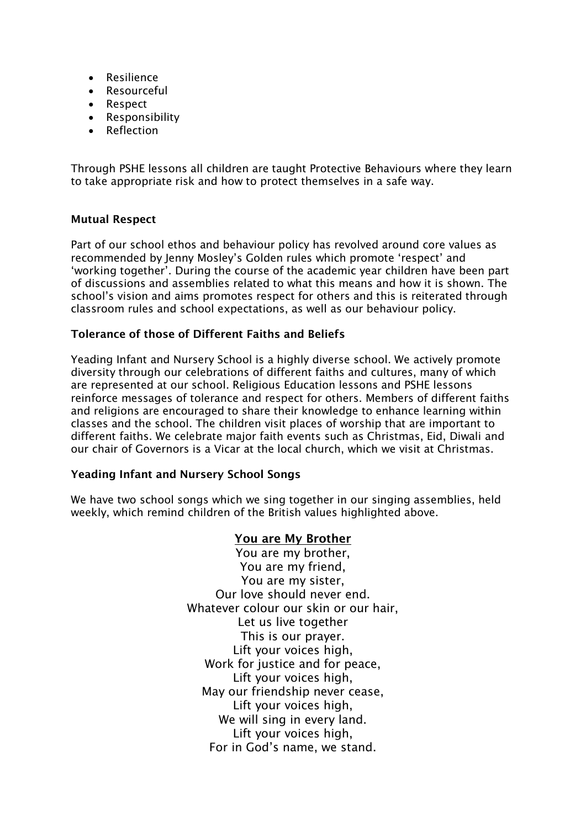- Resilience
- Resourceful
- Respect
- Responsibility
- Reflection

Through PSHE lessons all children are taught Protective Behaviours where they learn to take appropriate risk and how to protect themselves in a safe way.

#### **Mutual Respect**

Part of our school ethos and behaviour policy has revolved around core values as recommended by Jenny Mosley's Golden rules which promote 'respect' and 'working together'. During the course of the academic year children have been part of discussions and assemblies related to what this means and how it is shown. The school's vision and aims promotes respect for others and this is reiterated through classroom rules and school expectations, as well as our behaviour policy.

## **Tolerance of those of Different Faiths and Beliefs**

Yeading Infant and Nursery School is a highly diverse school. We actively promote diversity through our celebrations of different faiths and cultures, many of which are represented at our school. Religious Education lessons and PSHE lessons reinforce messages of tolerance and respect for others. Members of different faiths and religions are encouraged to share their knowledge to enhance learning within classes and the school. The children visit places of worship that are important to different faiths. We celebrate major faith events such as Christmas, Eid, Diwali and our chair of Governors is a Vicar at the local church, which we visit at Christmas.

#### **Yeading Infant and Nursery School Songs**

We have two school songs which we sing together in our singing assemblies, held weekly, which remind children of the British values highlighted above.

# **You are My Brother**

You are my brother, You are my friend, You are my sister, Our love should never end. Whatever colour our skin or our hair. Let us live together This is our prayer. Lift your voices high, Work for justice and for peace, Lift your voices high, May our friendship never cease, Lift your voices high, We will sing in every land. Lift your voices high, For in God's name, we stand.